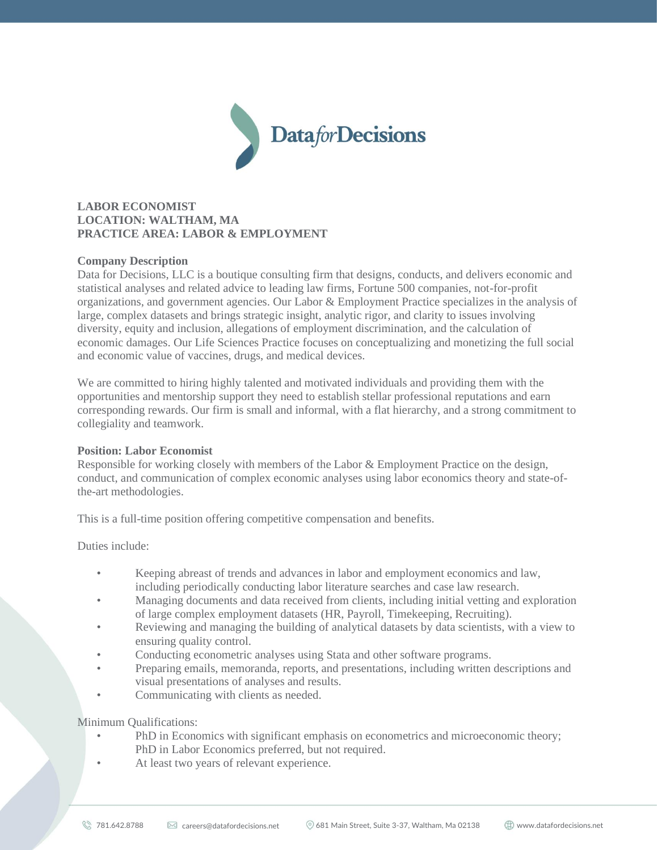

# **LABOR ECONOMIST LOCATION: WALTHAM, MA PRACTICE AREA: LABOR & EMPLOYMENT**

### **Company Description**

Data for Decisions, LLC is a boutique consulting firm that designs, conducts, and delivers economic and statistical analyses and related advice to leading law firms, Fortune 500 companies, not-for-profit organizations, and government agencies. Our Labor & Employment Practice specializes in the analysis of large, complex datasets and brings strategic insight, analytic rigor, and clarity to issues involving diversity, equity and inclusion, allegations of employment discrimination, and the calculation of economic damages. Our Life Sciences Practice focuses on conceptualizing and monetizing the full social and economic value of vaccines, drugs, and medical devices.

We are committed to hiring highly talented and motivated individuals and providing them with the opportunities and mentorship support they need to establish stellar professional reputations and earn corresponding rewards. Our firm is small and informal, with a flat hierarchy, and a strong commitment to collegiality and teamwork.

#### **Position: Labor Economist**

Responsible for working closely with members of the Labor & Employment Practice on the design, conduct, and communication of complex economic analyses using labor economics theory and state-ofthe-art methodologies.

This is a full-time position offering competitive compensation and benefits.

Duties include:

- Keeping abreast of trends and advances in labor and employment economics and law, including periodically conducting labor literature searches and case law research.
- Managing documents and data received from clients, including initial vetting and exploration of large complex employment datasets (HR, Payroll, Timekeeping, Recruiting).
- Reviewing and managing the building of analytical datasets by data scientists, with a view to ensuring quality control.
- Conducting econometric analyses using Stata and other software programs.
- Preparing emails, memoranda, reports, and presentations, including written descriptions and visual presentations of analyses and results.
- Communicating with clients as needed.

Minimum Qualifications:

- PhD in Economics with significant emphasis on econometrics and microeconomic theory; PhD in Labor Economics preferred, but not required.
- At least two years of relevant experience.